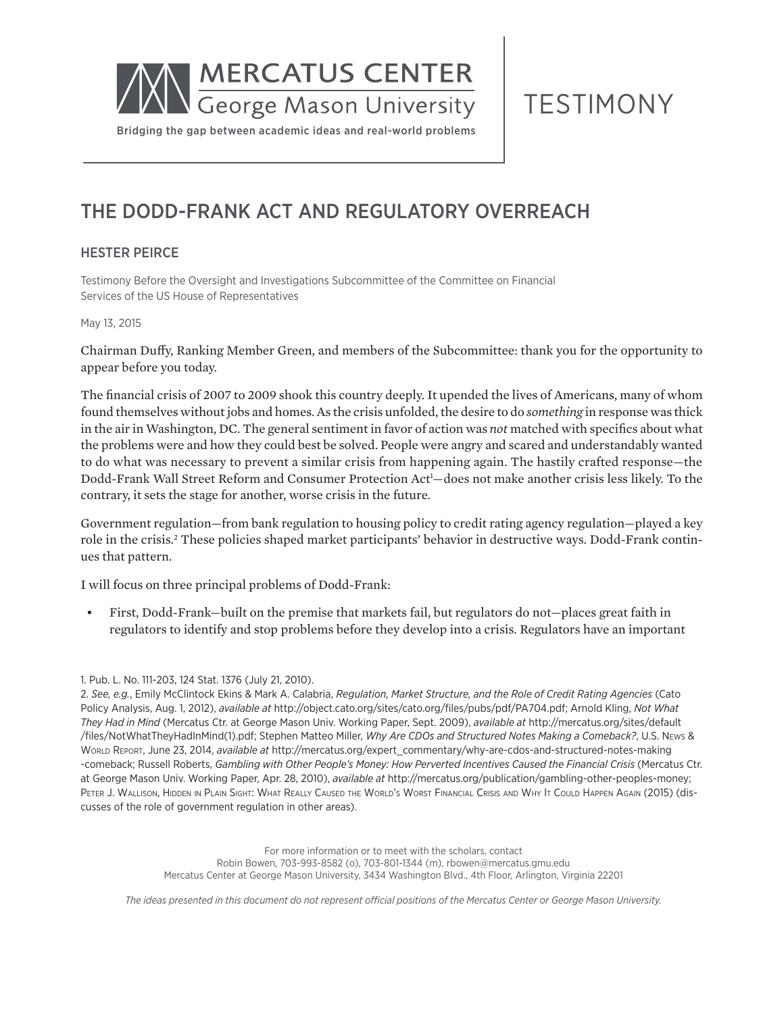

# TESTIMONY

# THE DODD-FRANK ACT AND REGULATORY OVERREACH

# HESTER PEIRCE

Testimony Before the Oversight and Investigations Subcommittee of the Committee on Financial Services of the US House of Representatives

#### May 13, 2015

Chairman Duffy, Ranking Member Green, and members of the Subcommittee: thank you for the opportunity to appear before you today.

The financial crisis of 2007 to 2009 shook this country deeply. It upended the lives of Americans, many of whom found themselves without jobs and homes. As the crisis unfolded, the desire to do *something* in response was thick in the air in Washington, DC. The general sentiment in favor of action was *not* matched with specifics about what the problems were and how they could best be solved. People were angry and scared and understandably wanted to do what was necessary to prevent a similar crisis from happening again. The hastily crafted response—the Dodd-Frank Wall Street Reform and Consumer Protection Act<sup>1</sup>—does not make another crisis less likely. To the contrary, it sets the stage for another, worse crisis in the future.

Government regulation—from bank regulation to housing policy to credit rating agency regulation—played a key role in the crisis.<sup>2</sup> These policies shaped market participants' behavior in destructive ways. Dodd-Frank continues that pattern.

I will focus on three principal problems of Dodd-Frank:

• First, Dodd-Frank—built on the premise that markets fail, but regulators do not—places great faith in regulators to identify and stop problems before they develop into a crisis. Regulators have an important

1. Pub. L. No. 111-203, 124 Stat. 1376 (July 21, 2010).

2. *See, e.g.*, Emily McClintock Ekins & Mark A. Calabria, *Regulation, Market Structure, and the Role of Credit Rating Agencies* (Cato Policy Analysis, Aug. 1, 2012), *available at* http://object.cato.org/sites/cato.org/files/pubs/pdf/PA704.pdf; Arnold Kling, *Not What They Had in Mind* (Mercatus Ctr. at George Mason Univ. Working Paper, Sept. 2009), *available at* http://mercatus.org/sites/default /files/NotWhatTheyHadInMind(1).pdf; Stephen Matteo Miller, *Why Are CDOs and Structured Notes Making a Comeback?*, U.S. News & World Report, June 23, 2014, *available at* http://mercatus.org/expert\_commentary/why-are-cdos-and-structured-notes-making -comeback; Russell Roberts, *Gambling with Other People's Money: How Perverted Incentives Caused the Financial Crisis* (Mercatus Ctr. at George Mason Univ. Working Paper, Apr. 28, 2010), *available at* http://mercatus.org/publication/gambling-other-peoples-money; Peter J. Wallison, Hidden in Plain Sight: What Really Caused the World's Worst Financial Crisis and Why It Could Happen Again (2015) (discusses of the role of government regulation in other areas).

> For more information or to meet with the scholars, contact Robin Bowen, 703-993-8582 (o), 703-801-1344 (m), rbowen@mercatus.gmu.edu Mercatus Center at George Mason University, 3434 Washington Blvd., 4th Floor, Arlington, Virginia 22201

*The ideas presented in this document do not represent official positions of the Mercatus Center or George Mason University.*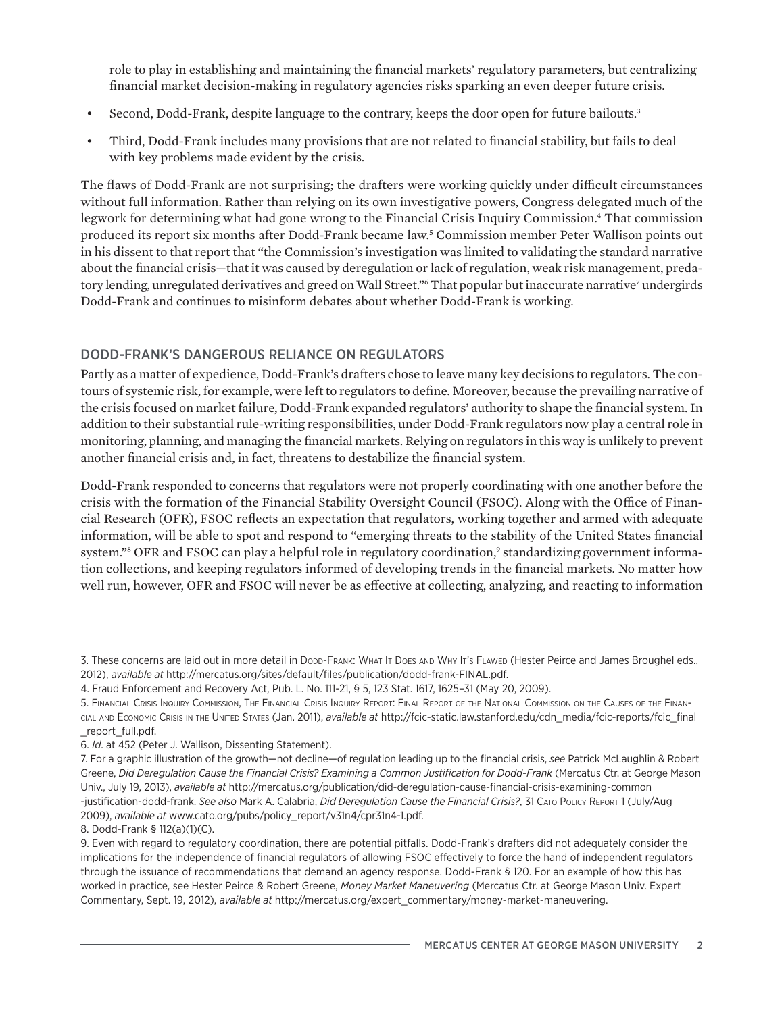role to play in establishing and maintaining the financial markets' regulatory parameters, but centralizing financial market decision-making in regulatory agencies risks sparking an even deeper future crisis.

- Second, Dodd-Frank, despite language to the contrary, keeps the door open for future bailouts.<sup>3</sup>
- Third, Dodd-Frank includes many provisions that are not related to financial stability, but fails to deal with key problems made evident by the crisis.

The flaws of Dodd-Frank are not surprising; the drafters were working quickly under difficult circumstances without full information. Rather than relying on its own investigative powers, Congress delegated much of the legwork for determining what had gone wrong to the Financial Crisis Inquiry Commission.4 That commission produced its report six months after Dodd-Frank became law.5 Commission member Peter Wallison points out in his dissent to that report that "the Commission's investigation was limited to validating the standard narrative about the financial crisis—that it was caused by deregulation or lack of regulation, weak risk management, predatory lending, unregulated derivatives and greed on Wall Street."<sup>6</sup> That popular but inaccurate narrative<sup>7</sup> undergirds Dodd-Frank and continues to misinform debates about whether Dodd-Frank is working.

## DODD-FRANK'S DANGEROUS RELIANCE ON REGULATORS

Partly as a matter of expedience, Dodd-Frank's drafters chose to leave many key decisions to regulators. The contours of systemic risk, for example, were left to regulators to define. Moreover, because the prevailing narrative of the crisis focused on market failure, Dodd-Frank expanded regulators' authority to shape the financial system. In addition to their substantial rule-writing responsibilities, under Dodd-Frank regulators now play a central role in monitoring, planning, and managing the financial markets. Relying on regulators in this way is unlikely to prevent another financial crisis and, in fact, threatens to destabilize the financial system.

Dodd-Frank responded to concerns that regulators were not properly coordinating with one another before the crisis with the formation of the Financial Stability Oversight Council (FSOC). Along with the Office of Financial Research (OFR), FSOC reflects an expectation that regulators, working together and armed with adequate information, will be able to spot and respond to "emerging threats to the stability of the United States financial system."<sup>8</sup> OFR and FSOC can play a helpful role in regulatory coordination,<sup>9</sup> standardizing government information collections, and keeping regulators informed of developing trends in the financial markets. No matter how well run, however, OFR and FSOC will never be as effective at collecting, analyzing, and reacting to information

4. Fraud Enforcement and Recovery Act, Pub. L. No. 111-21, § 5, 123 Stat. 1617, 1625–31 (May 20, 2009).

- 6. *Id*. at 452 (Peter J. Wallison, Dissenting Statement).
- 7. For a graphic illustration of the growth—not decline—of regulation leading up to the financial crisis, *see* Patrick McLaughlin & Robert Greene, *Did Deregulation Cause the Financial Crisis? Examining a Common Justification for Dodd-Frank* (Mercatus Ctr. at George Mason Univ., July 19, 2013), *available at* http://mercatus.org/publication/did-deregulation-cause-financial-crisis-examining-common -justification-dodd-frank. *See also* Mark A. Calabria, *Did Deregulation Cause the Financial Crisis?*, 31 Cato Policy Report 1 (July/Aug 2009), *available at* www.cato.org/pubs/policy\_report/v31n4/cpr31n4-1.pdf.

8. Dodd-Frank § 112(a)(1)(C).

<sup>3.</sup> These concerns are laid out in more detail in Dopp-Frank: What It Does and Why It's FLAWED (Hester Peirce and James Broughel eds., 2012), *available at* http://mercatus.org/sites/default/files/publication/dodd-frank-FINAL.pdf.

<sup>5.</sup> Financial Crisis Inquiry Commission, The Financial Crisis Inquiry Report: Final Report of the National Commission on the Causes of the Financial and Economic Crisis in the United States (Jan. 2011), *available at* [http://fcic-static.law.stanford.edu/cdn\\_media/fcic-reports/fcic\\_final](http://fcic-static.law.stanford.edu/cdn_media/fcic-reports/fcic_final_report_full.pdf) [\\_report\\_full.pdf.](http://fcic-static.law.stanford.edu/cdn_media/fcic-reports/fcic_final_report_full.pdf)

<sup>9.</sup> Even with regard to regulatory coordination, there are potential pitfalls. Dodd-Frank's drafters did not adequately consider the implications for the independence of financial regulators of allowing FSOC effectively to force the hand of independent regulators through the issuance of recommendations that demand an agency response. Dodd-Frank § 120. For an example of how this has worked in practice, see Hester Peirce & Robert Greene, *Money Market Maneuvering* (Mercatus Ctr. at George Mason Univ. Expert Commentary, Sept. 19, 2012), *available at* http://mercatus.org/expert\_commentary/money-market-maneuvering.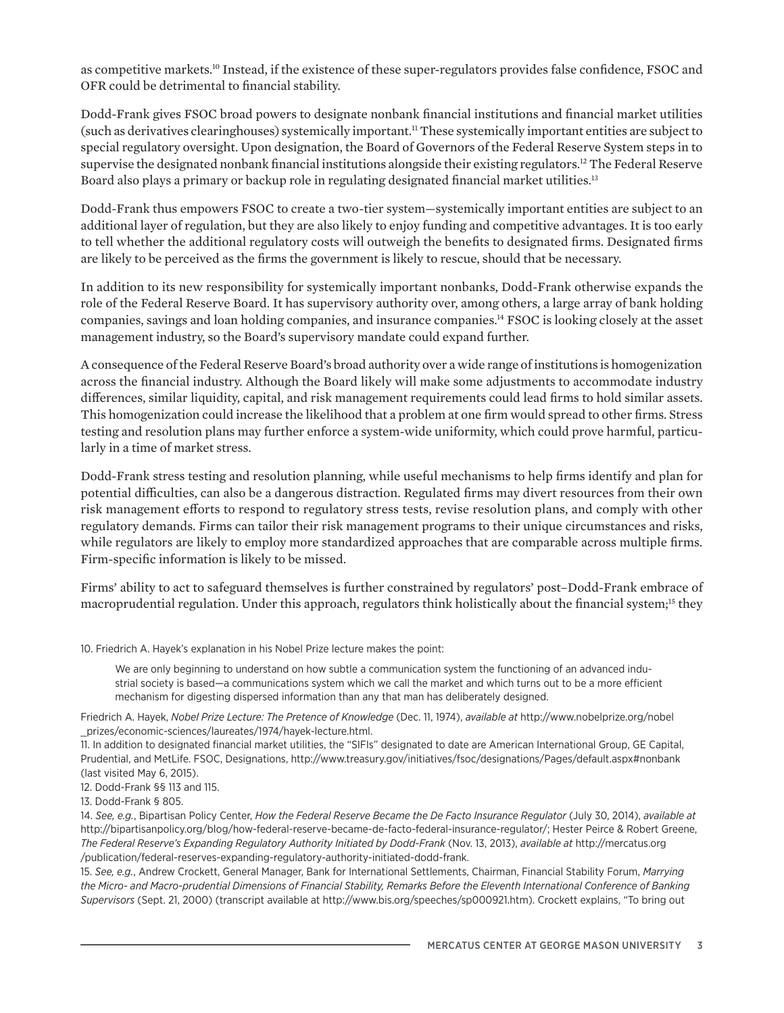as competitive markets.<sup>10</sup> Instead, if the existence of these super-regulators provides false confidence, FSOC and OFR could be detrimental to financial stability.

Dodd-Frank gives FSOC broad powers to designate nonbank financial institutions and financial market utilities (such as derivatives clearinghouses) systemically important.11 These systemically important entities are subject to special regulatory oversight. Upon designation, the Board of Governors of the Federal Reserve System steps in to supervise the designated nonbank financial institutions alongside their existing regulators.<sup>12</sup> The Federal Reserve Board also plays a primary or backup role in regulating designated financial market utilities.13

Dodd-Frank thus empowers FSOC to create a two-tier system—systemically important entities are subject to an additional layer of regulation, but they are also likely to enjoy funding and competitive advantages. It is too early to tell whether the additional regulatory costs will outweigh the benefits to designated firms. Designated firms are likely to be perceived as the firms the government is likely to rescue, should that be necessary.

In addition to its new responsibility for systemically important nonbanks, Dodd-Frank otherwise expands the role of the Federal Reserve Board. It has supervisory authority over, among others, a large array of bank holding companies, savings and loan holding companies, and insurance companies.14 FSOC is looking closely at the asset management industry, so the Board's supervisory mandate could expand further.

A consequence of the Federal Reserve Board's broad authority over a wide range of institutions is homogenization across the financial industry. Although the Board likely will make some adjustments to accommodate industry differences, similar liquidity, capital, and risk management requirements could lead firms to hold similar assets. This homogenization could increase the likelihood that a problem at one firm would spread to other firms. Stress testing and resolution plans may further enforce a system-wide uniformity, which could prove harmful, particularly in a time of market stress.

Dodd-Frank stress testing and resolution planning, while useful mechanisms to help firms identify and plan for potential difficulties, can also be a dangerous distraction. Regulated firms may divert resources from their own risk management efforts to respond to regulatory stress tests, revise resolution plans, and comply with other regulatory demands. Firms can tailor their risk management programs to their unique circumstances and risks, while regulators are likely to employ more standardized approaches that are comparable across multiple firms. Firm-specific information is likely to be missed.

Firms' ability to act to safeguard themselves is further constrained by regulators' post–Dodd-Frank embrace of macroprudential regulation. Under this approach, regulators think holistically about the financial system;<sup>15</sup> they

10. Friedrich A. Hayek's explanation in his Nobel Prize lecture makes the point:

We are only beginning to understand on how subtle a communication system the functioning of an advanced industrial society is based—a communications system which we call the market and which turns out to be a more efficient mechanism for digesting dispersed information than any that man has deliberately designed.

Friedrich A. Hayek, *Nobel Prize Lecture: The Pretence of Knowledge* (Dec. 11, 1974), *available at* http://www.nobelprize.org/nobel \_prizes/economic-sciences/laureates/1974/hayek-lecture.html.

11. In addition to designated financial market utilities, the "SIFIs" designated to date are American International Group, GE Capital, Prudential, and MetLife. FSOC, Designations, http://www.treasury.gov/initiatives/fsoc/designations/Pages/default.aspx#nonbank (last visited May 6, 2015).

12. Dodd-Frank §§ 113 and 115.

13. Dodd-Frank § 805.

14. *See, e.g.*, Bipartisan Policy Center, *How the Federal Reserve Became the De Facto Insurance Regulator* (July 30, 2014), *available at* http://bipartisanpolicy.org/blog/how-federal-reserve-became-de-facto-federal-insurance-regulator/; Hester Peirce & Robert Greene, *The Federal Reserve's Expanding Regulatory Authority Initiated by Dodd-Frank* (Nov. 13, 2013), *available at* http://mercatus.org /publication/federal-reserves-expanding-regulatory-authority-initiated-dodd-frank.

15. *See, e.g.*, Andrew Crockett, General Manager, Bank for International Settlements, Chairman, Financial Stability Forum, *Marrying the Micro- and Macro-prudential Dimensions of Financial Stability, Remarks Before the Eleventh International Conference of Banking Supervisors* (Sept. 21, 2000) (transcript available at http://www.bis.org/speeches/sp000921.htm). Crockett explains, "To bring out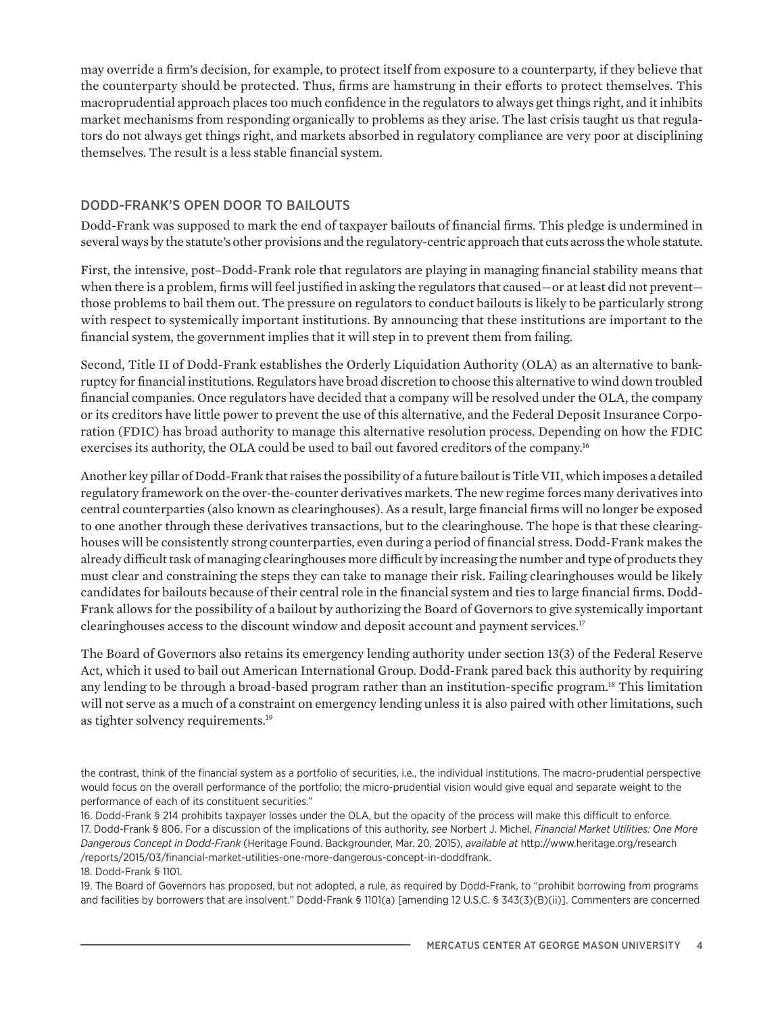may override a firm's decision, for example, to protect itself from exposure to a counterparty, if they believe that the counterparty should be protected. Thus, firms are hamstrung in their efforts to protect themselves. This macroprudential approach places too much confidence in the regulators to always get things right, and it inhibits market mechanisms from responding organically to problems as they arise. The last crisis taught us that regulators do not always get things right, and markets absorbed in regulatory compliance are very poor at disciplining themselves. The result is a less stable financial system.

## DODD-FRANK'S OPEN DOOR TO BAILOUTS

Dodd-Frank was supposed to mark the end of taxpayer bailouts of financial firms. This pledge is undermined in several ways by the statute's other provisions and the regulatory-centric approach that cuts across the whole statute.

First, the intensive, post–Dodd-Frank role that regulators are playing in managing financial stability means that when there is a problem, firms will feel justified in asking the regulators that caused—or at least did not prevent those problems to bail them out. The pressure on regulators to conduct bailouts is likely to be particularly strong with respect to systemically important institutions. By announcing that these institutions are important to the financial system, the government implies that it will step in to prevent them from failing.

Second, Title II of Dodd-Frank establishes the Orderly Liquidation Authority (OLA) as an alternative to bankruptcy for financial institutions. Regulators have broad discretion to choose this alternative to wind down troubled financial companies. Once regulators have decided that a company will be resolved under the OLA, the company or its creditors have little power to prevent the use of this alternative, and the Federal Deposit Insurance Corporation (FDIC) has broad authority to manage this alternative resolution process. Depending on how the FDIC exercises its authority, the OLA could be used to bail out favored creditors of the company.<sup>16</sup>

Another key pillar of Dodd-Frank that raises the possibility of a future bailout is Title VII, which imposes a detailed regulatory framework on the over-the-counter derivatives markets. The new regime forces many derivatives into central counterparties (also known as clearinghouses). As a result, large financial firms will no longer be exposed to one another through these derivatives transactions, but to the clearinghouse. The hope is that these clearinghouses will be consistently strong counterparties, even during a period of financial stress. Dodd-Frank makes the already difficult task of managing clearinghouses more difficult by increasing the number and type of products they must clear and constraining the steps they can take to manage their risk. Failing clearinghouses would be likely candidates for bailouts because of their central role in the financial system and ties to large financial firms. Dodd-Frank allows for the possibility of a bailout by authorizing the Board of Governors to give systemically important clearinghouses access to the discount window and deposit account and payment services.<sup>17</sup>

The Board of Governors also retains its emergency lending authority under section 13(3) of the Federal Reserve Act, which it used to bail out American International Group. Dodd-Frank pared back this authority by requiring any lending to be through a broad-based program rather than an institution-specific program.18 This limitation will not serve as a much of a constraint on emergency lending unless it is also paired with other limitations, such as tighter solvency requirements.<sup>19</sup>

16. Dodd-Frank § 214 prohibits taxpayer losses under the OLA, but the opacity of the process will make this difficult to enforce. 17. Dodd-Frank § 806. For a discussion of the implications of this authority, *see* Norbert J. Michel, *Financial Market Utilities: One More Dangerous Concept in Dodd-Frank* (Heritage Found. Backgrounder, Mar. 20, 2015), *available at* http://www.heritage.org/research /reports/2015/03/financial-market-utilities-one-more-dangerous-concept-in-doddfrank.

18. Dodd-Frank § 1101.

19. The Board of Governors has proposed, but not adopted, a rule, as required by Dodd-Frank, to "prohibit borrowing from programs and facilities by borrowers that are insolvent." Dodd-Frank § 1101(a) [amending 12 U.S.C. § 343(3)(B)(ii)]. Commenters are concerned

the contrast, think of the financial system as a portfolio of securities, i.e., the individual institutions. The macro-prudential perspective would focus on the overall performance of the portfolio; the micro-prudential vision would give equal and separate weight to the performance of each of its constituent securities."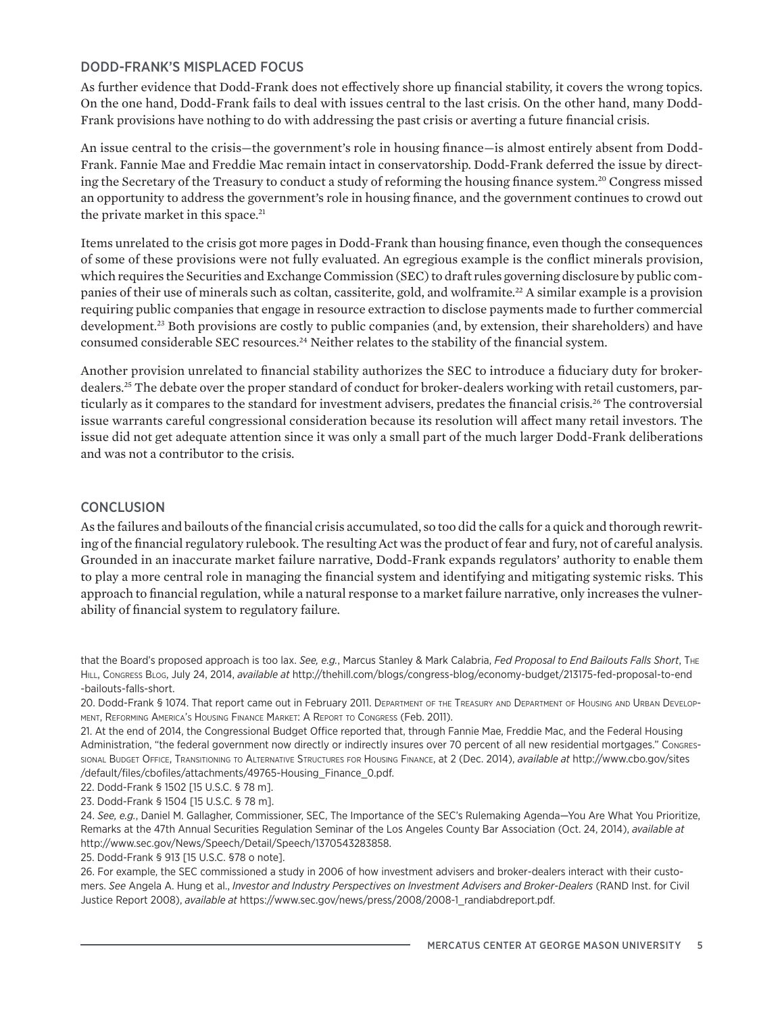#### DODD-FRANK'S MISPLACED FOCUS

As further evidence that Dodd-Frank does not effectively shore up financial stability, it covers the wrong topics. On the one hand, Dodd-Frank fails to deal with issues central to the last crisis. On the other hand, many Dodd-Frank provisions have nothing to do with addressing the past crisis or averting a future financial crisis.

An issue central to the crisis—the government's role in housing finance—is almost entirely absent from Dodd-Frank. Fannie Mae and Freddie Mac remain intact in conservatorship. Dodd-Frank deferred the issue by directing the Secretary of the Treasury to conduct a study of reforming the housing finance system.20 Congress missed an opportunity to address the government's role in housing finance, and the government continues to crowd out the private market in this space.<sup>21</sup>

Items unrelated to the crisis got more pages in Dodd-Frank than housing finance, even though the consequences of some of these provisions were not fully evaluated. An egregious example is the conflict minerals provision, which requires the Securities and Exchange Commission (SEC) to draft rules governing disclosure by public companies of their use of minerals such as coltan, cassiterite, gold, and wolframite.22 A similar example is a provision requiring public companies that engage in resource extraction to disclose payments made to further commercial development.23 Both provisions are costly to public companies (and, by extension, their shareholders) and have consumed considerable SEC resources.<sup>24</sup> Neither relates to the stability of the financial system.

Another provision unrelated to financial stability authorizes the SEC to introduce a fiduciary duty for brokerdealers.25 The debate over the proper standard of conduct for broker-dealers working with retail customers, particularly as it compares to the standard for investment advisers, predates the financial crisis.26 The controversial issue warrants careful congressional consideration because its resolution will affect many retail investors. The issue did not get adequate attention since it was only a small part of the much larger Dodd-Frank deliberations and was not a contributor to the crisis.

#### **CONCLUSION**

As the failures and bailouts of the financial crisis accumulated, so too did the calls for a quick and thorough rewriting of the financial regulatory rulebook. The resulting Act was the product of fear and fury, not of careful analysis. Grounded in an inaccurate market failure narrative, Dodd-Frank expands regulators' authority to enable them to play a more central role in managing the financial system and identifying and mitigating systemic risks. This approach to financial regulation, while a natural response to a market failure narrative, only increases the vulnerability of financial system to regulatory failure.

that the Board's proposed approach is too lax. *See, e.g.*, Marcus Stanley & Mark Calabria, *Fed Proposal to End Bailouts Falls Short*, The Hill, Congress Blog, July 24, 2014, *available at* http://thehill.com/blogs/congress-blog/economy-budget/213175-fed-proposal-to-end -bailouts-falls-short.

20. Dodd-Frank § 1074. That report came out in February 2011. Department of the Treasury and Department of Housing and Urban Development, Reforming America's Housing Finance Market: A Report to Congress (Feb. 2011).

21. At the end of 2014, the Congressional Budget Office reported that, through Fannie Mae, Freddie Mac, and the Federal Housing Administration, "the federal government now directly or indirectly insures over 70 percent of all new residential mortgages." Congressional Budget Office, Transitioning to Alternative Structures for Housing Finance, at 2 (Dec. 2014), *available at* http://www.cbo.gov/sites /default/files/cbofiles/attachments/49765-Housing\_Finance\_0.pdf.

22. Dodd-Frank § 1502 [15 U.S.C. § 78 m].

23. Dodd-Frank § 1504 [15 U.S.C. § 78 m].

24. *See, e.g.*, Daniel M. Gallagher, Commissioner, SEC, The Importance of the SEC's Rulemaking Agenda—You Are What You Prioritize, Remarks at the 47th Annual Securities Regulation Seminar of the Los Angeles County Bar Association (Oct. 24, 2014), *available at* http://www.sec.gov/News/Speech/Detail/Speech/1370543283858.

25. Dodd-Frank § 913 [15 U.S.C. §78 o note].

26. For example, the SEC commissioned a study in 2006 of how investment advisers and broker-dealers interact with their customers. *See* Angela A. Hung et al., *Investor and Industry Perspectives on Investment Advisers and Broker-Dealers* (RAND Inst. for Civil Justice Report 2008), *available at* https://www.sec.gov/news/press/2008/2008-1\_randiabdreport.pdf.